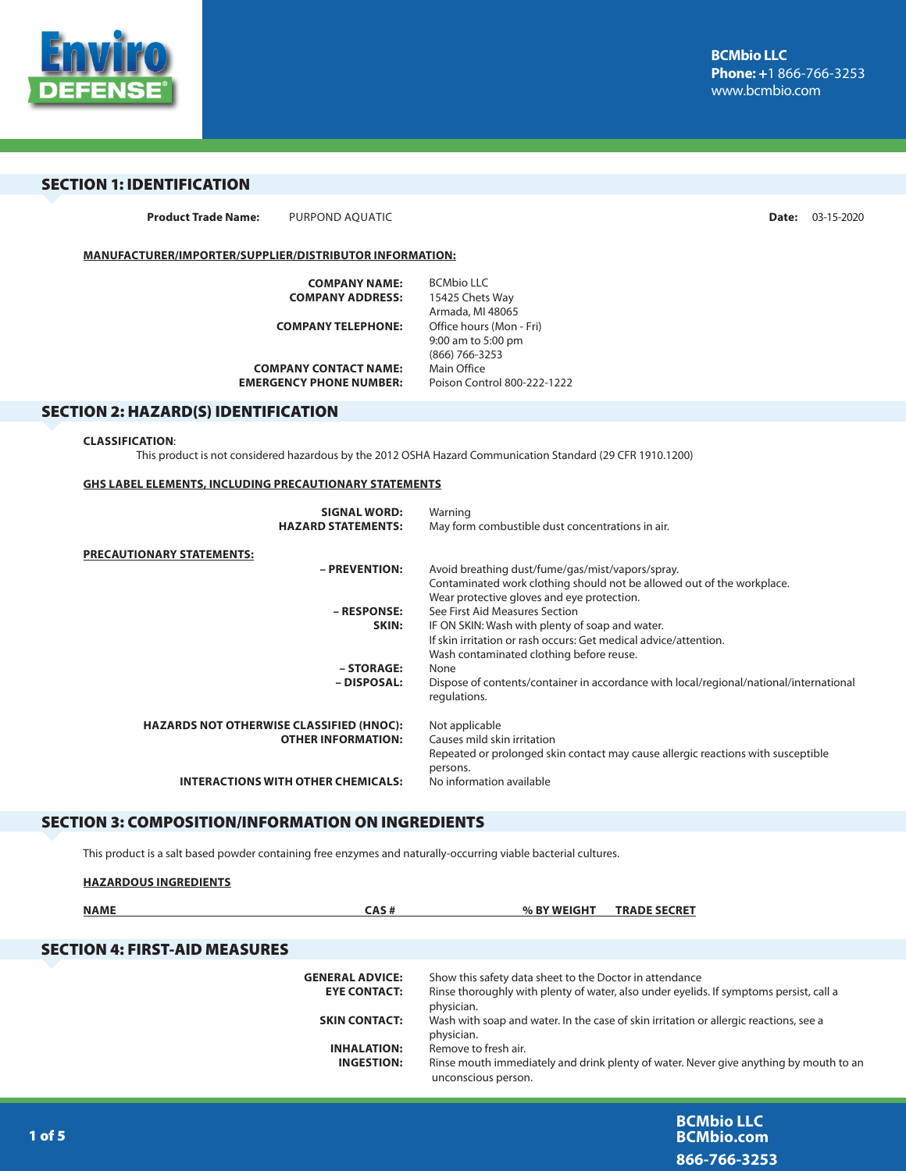

## SECTION 1: IDENTIFICATION

**Product Trade Name:** PURPOND AQUATIC **Date:** 03-15-2020

**BCMbio.com 866-766-3253**

## **MANUFACTURER/IMPORTER/SUPPLIER/DISTRIBUTOR INFORMATION:**

| <b>COMPANY NAME:</b>           | RCMbio II C                 |
|--------------------------------|-----------------------------|
| <b>COMPANY ADDRESS:</b>        | 15425 Chets Way             |
|                                | Armada, MI 48065            |
| <b>COMPANY TELEPHONE:</b>      | Office hours (Mon - Fri)    |
|                                | 9:00 am to 5:00 pm          |
|                                | (866) 766-3253              |
| <b>COMPANY CONTACT NAME:</b>   | Main Office                 |
| <b>EMERGENCY PHONE NUMBER:</b> | Poison Control 800-222-1222 |
|                                |                             |

## SECTION 2: HAZARD(S) IDENTIFICATION

#### **CLASSIFICATION**:

This product is not considered hazardous by the 2012 OSHA Hazard Communication Standard (29 CFR 1910.1200)

#### **GHS LABEL ELEMENTS, INCLUDING PRECAUTIONARY STATEMENTS**

| <b>SIGNAL WORD:</b>                             | Warning                                                                                                |
|-------------------------------------------------|--------------------------------------------------------------------------------------------------------|
| <b>HAZARD STATEMENTS:</b>                       | May form combustible dust concentrations in air.                                                       |
| <b>PRECAUTIONARY STATEMENTS:</b>                |                                                                                                        |
| - PREVENTION:                                   | Avoid breathing dust/fume/gas/mist/vapors/spray.                                                       |
|                                                 | Contaminated work clothing should not be allowed out of the workplace.                                 |
|                                                 | Wear protective gloves and eye protection.                                                             |
| – RESPONSE:                                     | See First Aid Measures Section                                                                         |
| SKIN:                                           | IF ON SKIN: Wash with plenty of soap and water.                                                        |
|                                                 | If skin irritation or rash occurs: Get medical advice/attention.                                       |
|                                                 | Wash contaminated clothing before reuse.                                                               |
| - STORAGE:                                      | None                                                                                                   |
| – DISPOSAL:                                     | Dispose of contents/container in accordance with local/regional/national/international<br>regulations. |
| <b>HAZARDS NOT OTHERWISE CLASSIFIED (HNOC):</b> | Not applicable                                                                                         |
| <b>OTHER INFORMATION:</b>                       | Causes mild skin irritation                                                                            |
|                                                 | Repeated or prolonged skin contact may cause allergic reactions with susceptible                       |
|                                                 | persons.                                                                                               |
| <b>INTERACTIONS WITH OTHER CHEMICALS:</b>       | No information available                                                                               |
|                                                 |                                                                                                        |

## SECTION 3: COMPOSITION/INFORMATION ON INGREDIENTS

This product is a salt based powder containing free enzymes and naturally-occurring viable bacterial cultures.

| <b>HAZARDOUS INGREDIENTS</b>         |                                               |                                                                                                                                                                 |
|--------------------------------------|-----------------------------------------------|-----------------------------------------------------------------------------------------------------------------------------------------------------------------|
| <b>NAME</b>                          | CAS#                                          | % BY WEIGHT<br><b>TRADE SECRET</b>                                                                                                                              |
| <b>SECTION 4: FIRST-AID MEASURES</b> |                                               |                                                                                                                                                                 |
|                                      | <b>GENERAL ADVICE:</b><br><b>EYE CONTACT:</b> | Show this safety data sheet to the Doctor in attendance<br>Rinse thoroughly with plenty of water, also under eyelids. If symptoms persist, call a<br>physician. |
|                                      | <b>SKIN CONTACT:</b>                          | Wash with soap and water. In the case of skin irritation or allergic reactions, see a<br>physician.                                                             |
|                                      | <b>INHALATION:</b><br><b>INGESTION:</b>       | Remove to fresh air.<br>Rinse mouth immediately and drink plenty of water. Never give anything by mouth to an<br>unconscious person.                            |
|                                      |                                               | <b>BCMbio LLC</b>                                                                                                                                               |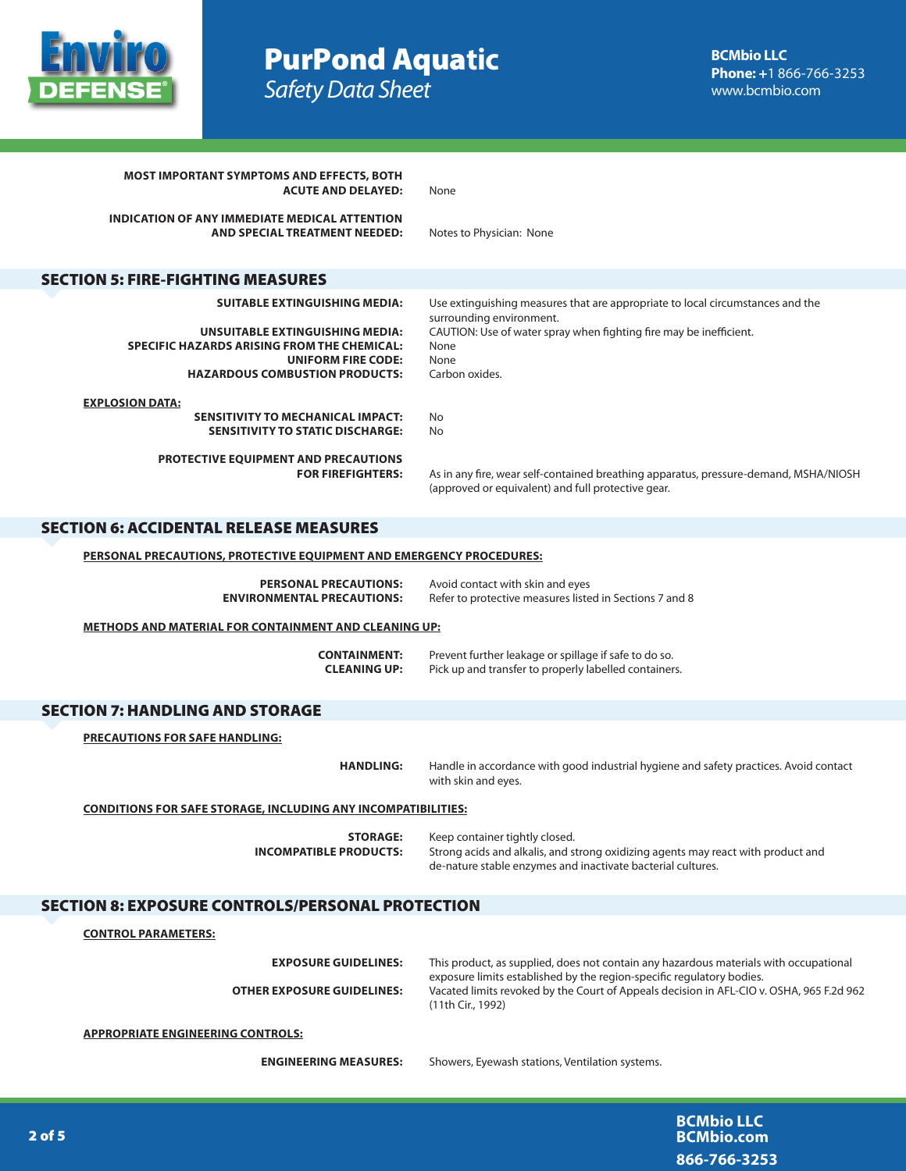

# PurPond Aqua**tic** *Safety Data Sheet*

| <b>MOST IMPORTANT SYMPTOMS AND EFFECTS, BOTH</b><br><b>ACUTE AND DELAYED:</b>                                             | None                                                                                                                                                                                   |
|---------------------------------------------------------------------------------------------------------------------------|----------------------------------------------------------------------------------------------------------------------------------------------------------------------------------------|
| INDICATION OF ANY IMMEDIATE MEDICAL ATTENTION<br>AND SPECIAL TREATMENT NEEDED:                                            | Notes to Physician: None                                                                                                                                                               |
| <b>SECTION 5: FIRE-FIGHTING MEASURES</b>                                                                                  |                                                                                                                                                                                        |
|                                                                                                                           |                                                                                                                                                                                        |
| <b>SUITABLE EXTINGUISHING MEDIA:</b>                                                                                      | Use extinguishing measures that are appropriate to local circumstances and the<br>surrounding environment.                                                                             |
| <b>UNSUITABLE EXTINGUISHING MEDIA:</b><br><b>SPECIFIC HAZARDS ARISING FROM THE CHEMICAL:</b><br><b>UNIFORM FIRE CODE:</b> | CAUTION: Use of water spray when fighting fire may be inefficient.<br>None<br>None                                                                                                     |
| <b>HAZARDOUS COMBUSTION PRODUCTS:</b>                                                                                     | Carbon oxides.                                                                                                                                                                         |
| <b>EXPLOSION DATA:</b>                                                                                                    |                                                                                                                                                                                        |
| <b>SENSITIVITY TO MECHANICAL IMPACT:</b><br><b>SENSITIVITY TO STATIC DISCHARGE:</b>                                       | No<br>No                                                                                                                                                                               |
| <b>PROTECTIVE EQUIPMENT AND PRECAUTIONS</b><br><b>FOR FIREFIGHTERS:</b>                                                   | As in any fire, wear self-contained breathing apparatus, pressure-demand, MSHA/NIOSH<br>(approved or equivalent) and full protective gear.                                             |
| <b>SECTION 6: ACCIDENTAL RELEASE MEASURES</b>                                                                             |                                                                                                                                                                                        |
| <b>PERSONAL PRECAUTIONS, PROTECTIVE EQUIPMENT AND EMERGENCY PROCEDURES:</b>                                               |                                                                                                                                                                                        |
|                                                                                                                           |                                                                                                                                                                                        |
| <b>PERSONAL PRECAUTIONS:</b><br><b>ENVIRONMENTAL PRECAUTIONS:</b>                                                         | Avoid contact with skin and eyes<br>Refer to protective measures listed in Sections 7 and 8                                                                                            |
| <b>METHODS AND MATERIAL FOR CONTAINMENT AND CLEANING UP:</b>                                                              |                                                                                                                                                                                        |
| <b>CONTAINMENT:</b><br><b>CLEANING UP:</b>                                                                                | Prevent further leakage or spillage if safe to do so.<br>Pick up and transfer to properly labelled containers.                                                                         |
| <b>SECTION 7: HANDLING AND STORAGE</b>                                                                                    |                                                                                                                                                                                        |
| <b>PRECAUTIONS FOR SAFE HANDLING:</b>                                                                                     |                                                                                                                                                                                        |
| <b>HANDLING:</b>                                                                                                          | Handle in accordance with good industrial hygiene and safety practices. Avoid contact<br>with skin and eyes.                                                                           |
| <b>CONDITIONS FOR SAFE STORAGE, INCLUDING ANY INCOMPATIBILITIES:</b>                                                      |                                                                                                                                                                                        |
| <b>STORAGE:</b><br><b>INCOMPATIBLE PRODUCTS:</b>                                                                          | Keep container tightly closed.<br>Strong acids and alkalis, and strong oxidizing agents may react with product and<br>de-nature stable enzymes and inactivate bacterial cultures.      |
| <b>SECTION 8: EXPOSURE CONTROLS/PERSONAL PROTECTION</b>                                                                   |                                                                                                                                                                                        |
| <b>CONTROL PARAMETERS:</b>                                                                                                |                                                                                                                                                                                        |
| <b>EXPOSURE GUIDELINES:</b>                                                                                               | This product, as supplied, does not contain any hazardous materials with occupational                                                                                                  |
| <b>OTHER EXPOSURE GUIDELINES:</b>                                                                                         | exposure limits established by the region-specific regulatory bodies.<br>Vacated limits revoked by the Court of Appeals decision in AFL-CIO v. OSHA, 965 F.2d 962<br>(11th Cir., 1992) |
| <b>APPROPRIATE ENGINEERING CONTROLS:</b>                                                                                  |                                                                                                                                                                                        |
| <b>ENGINEERING MEASURES:</b>                                                                                              | Showers, Eyewash stations, Ventilation systems.                                                                                                                                        |
|                                                                                                                           |                                                                                                                                                                                        |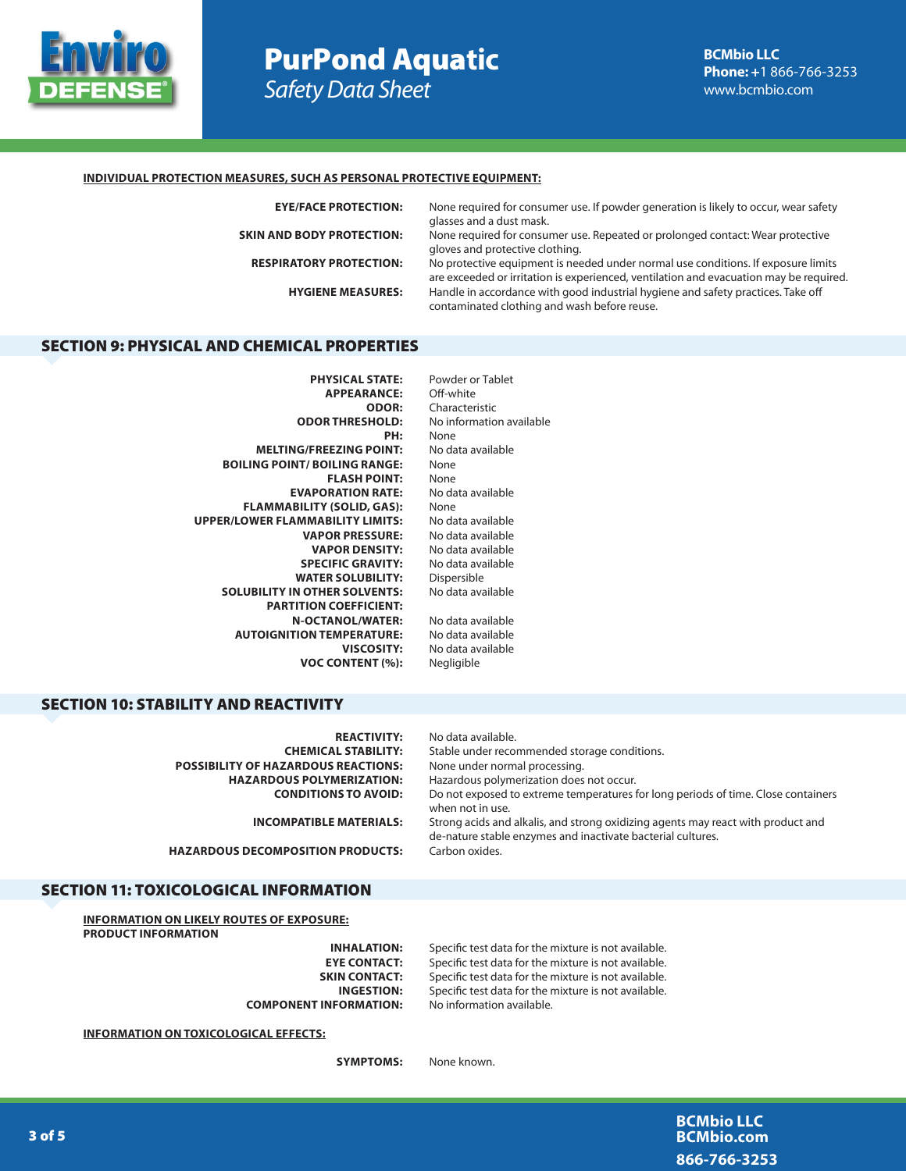

# PurPond Aqua**tic** *Safety Data Sheet*

### **INDIVIDUAL PROTECTION MEASURES, SUCH AS PERSONAL PROTECTIVE EQUIPMENT:**

| <b>EYE/FACE PROTECTION:</b>      | None required for consumer use. If powder generation is likely to occur, wear safety<br>glasses and a dust mask.                                                            |
|----------------------------------|-----------------------------------------------------------------------------------------------------------------------------------------------------------------------------|
| <b>SKIN AND BODY PROTECTION:</b> | None required for consumer use. Repeated or prolonged contact: Wear protective<br>gloves and protective clothing.                                                           |
| <b>RESPIRATORY PROTECTION:</b>   | No protective equipment is needed under normal use conditions. If exposure limits<br>are exceeded or irritation is experienced, ventilation and evacuation may be required. |
| <b>HYGIENE MEASURES:</b>         | Handle in accordance with good industrial hygiene and safety practices. Take off<br>contaminated clothing and wash before reuse.                                            |
|                                  |                                                                                                                                                                             |

## SECTION 9: PHYSICAL AND CHEMICAL PROPERTIES

| Powder or Tablet         |
|--------------------------|
| Off-white                |
| Characteristic           |
| No information available |
| None                     |
| No data available        |
| None                     |
| None                     |
| No data available        |
| None                     |
| No data available        |
| No data available        |
| No data available        |
| No data available        |
| Dispersible              |
| No data available        |
|                          |
| No data available        |
| No data available        |
| No data available        |
| Negligible               |
|                          |

## SECTION 10: STABILITY AND REACTIVITY

| <b>REACTIVITY:</b>                         | No data available.                                                                                                                              |
|--------------------------------------------|-------------------------------------------------------------------------------------------------------------------------------------------------|
| <b>CHEMICAL STABILITY:</b>                 | Stable under recommended storage conditions.                                                                                                    |
| <b>POSSIBILITY OF HAZARDOUS REACTIONS:</b> | None under normal processing.                                                                                                                   |
| <b>HAZARDOUS POLYMERIZATION:</b>           | Hazardous polymerization does not occur.                                                                                                        |
| <b>CONDITIONS TO AVOID:</b>                | Do not exposed to extreme temperatures for long periods of time. Close containers<br>when not in use.                                           |
| <b>INCOMPATIBLE MATERIALS:</b>             | Strong acids and alkalis, and strong oxidizing agents may react with product and<br>de-nature stable enzymes and inactivate bacterial cultures. |
| <b>HAZARDOUS DECOMPOSITION PRODUCTS:</b>   | Carbon oxides.                                                                                                                                  |

## SECTION 11: TOXICOLOGICAL INFORMATION

**INFORMATION ON LIKELY ROUTES OF EXPOSURE: PRODUCT INFORMATION**

**COMPONENT INFORMATION:** No information available.

**INHALATION:** Specific test data for the mixture is not available. **EYE CONTACT:** Specific test data for the mixture is not available.<br>**SKIN CONTACT:** Specific test data for the mixture is not available. Specific test data for the mixture is not available. **INGESTION:** Specific test data for the mixture is not available.

**INFORMATION ON TOXICOLOGICAL EFFECTS:**

**SYMPTOMS:** None known.

**BCMbio LLC BCMbio.com 866-766-3253**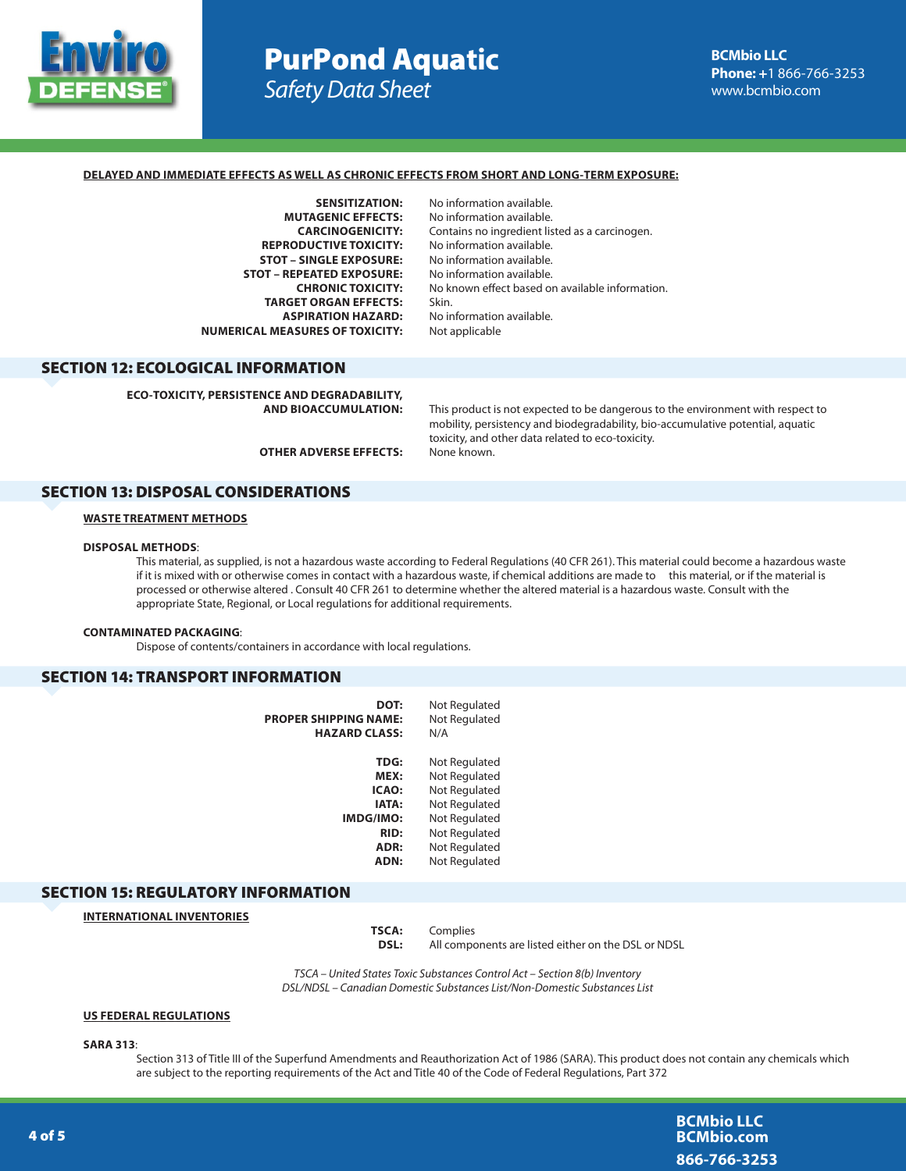

# PurPond Aqua**tic** *Safety Data Sheet*

#### **DELAYED AND IMMEDIATE EFFECTS AS WELL AS CHRONIC EFFECTS FROM SHORT AND LONG-TERM EXPOSURE:**

**MUTAGENIC EFFECTS:** No information available. **REPRODUCTIVE TOXICITY:** No information available.<br>**STOT – SINGLE EXPOSURE:** No information available. **STOT – SINGLE EXPOSURE: STOT – REPEATED EXPOSURE:** No information available. **TARGET ORGAN EFFECTS:** Skin.<br>**ASPIRATION HAZARD:** No ir **NUMERICAL MEASURES OF TOXICITY:** Not applicable

**SENSITIZATION:** No information available. **CARCINOGENICITY:** Contains no ingredient listed as a carcinogen. **CHRONIC TOXICITY:** No known effect based on available information. **No information available.** 

## SECTION 12: ECOLOGICAL INFORMATION

**ECO-TOXICITY, PERSISTENCE AND DEGRADABILITY,** 

**AND BIOACCUMULATION:** This product is not expected to be dangerous to the environment with respect to mobility, persistency and biodegradability, bio-accumulative potential, aquatic toxicity, and other data related to eco-toxicity.

**OTHER ADVERSE EFFECTS:** None known.

#### SECTION 13: DISPOSAL CONSIDERATIONS

### **WASTE TREATMENT METHODS**

#### **DISPOSAL METHODS**:

This material, as supplied, is not a hazardous waste according to Federal Regulations (40 CFR 261). This material could become a hazardous waste if it is mixed with or otherwise comes in contact with a hazardous waste, if chemical additions are made to this material, or if the material is processed or otherwise altered . Consult 40 CFR 261 to determine whether the altered material is a hazardous waste. Consult with the appropriate State, Regional, or Local regulations for additional requirements.

#### **CONTAMINATED PACKAGING**:

Dispose of contents/containers in accordance with local regulations.

## SECTION 14: TRANSPORT INFORMATION

| DOT:                         | Not Regulated |
|------------------------------|---------------|
| <b>PROPER SHIPPING NAME:</b> | Not Regulated |
| <b>HAZARD CLASS:</b>         | N/A           |
|                              |               |
| <b>TDG:</b>                  | Not Regulated |
| MEX:                         | Not Regulated |
| ICAO:                        | Not Regulated |
| IATA:                        | Not Regulated |
| <b>IMDG/IMO:</b>             | Not Regulated |
| <b>RID:</b>                  | Not Regulated |
| ADR:                         | Not Regulated |
| ADN:                         | Not Regulated |

## SECTION 15: REGULATORY INFORMATION

**INTERNATIONAL INVENTORIES**

**TSCA:** Complies **DSL:** All components are listed either on the DSL or NDSL

*TSCA – United States Toxic Substances Control Act – Section 8(b) Inventory DSL/NDSL – Canadian Domestic Substances List/Non-Domestic Substances List*

### **US FEDERAL REGULATIONS**

**SARA 313**:

Section 313 of Title III of the Superfund Amendments and Reauthorization Act of 1986 (SARA). This product does not contain any chemicals which are subject to the reporting requirements of the Act and Title 40 of the Code of Federal Regulations, Part 372

> **BCMbio LLC BCMbio.com 866-766-3253**